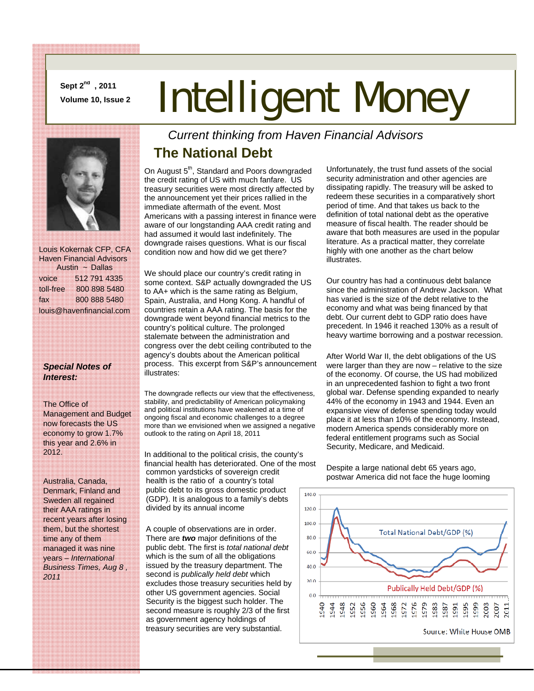**Sept 2nd , 2011** 

# **Sept 2<sup>w,</sup>, 2011**<br>Volume 10, Issue 2 **Intelligent Money**



 Louis Kokernak CFP, CFA Haven Financial Advisors Austin ~ Dallas voice 512 791 4335 toll-free 800 898 5480 fax 800 888 5480 louis@havenfinancial.com

#### *Special Notes of Interest:*

#### The Office of

Management and Budget now forecasts the US economy to grow 1.7% this year and 2.6% in 2012.

Australia, Canada, Denmark, Finland and Sweden all regained their AAA ratings in recent years after losing them, but the shortest time any of them managed it was nine years – *International Business Times, Aug 8 , 2011*

### *Current thinking from Haven Financial Advisors*  **The National Debt**

On August 5<sup>th</sup>, Standard and Poors downgraded the credit rating of US with much fanfare. US treasury securities were most directly affected by the announcement yet their prices rallied in the immediate aftermath of the event. Most Americans with a passing interest in finance were aware of our longstanding AAA credit rating and had assumed it would last indefinitely. The downgrade raises questions. What is our fiscal condition now and how did we get there?

We should place our country's credit rating in some context. S&P actually downgraded the US to AA+ which is the same rating as Belgium, Spain, Australia, and Hong Kong. A handful of countries retain a AAA rating. The basis for the downgrade went beyond financial metrics to the country's political culture. The prolonged stalemate between the administration and congress over the debt ceiling contributed to the agency's doubts about the American political process. This excerpt from S&P's announcement illustrates:

The downgrade reflects our view that the effectiveness, stability, and predictability of American policymaking and political institutions have weakened at a time of ongoing fiscal and economic challenges to a degree more than we envisioned when we assigned a negative outlook to the rating on April 18, 2011

In additional to the political crisis, the county's financial health has deteriorated. One of the most common yardsticks of sovereign credit health is the ratio of a country's total public debt to its gross domestic product (GDP). It is analogous to a family's debts divided by its annual income

A couple of observations are in order. There are *two* major definitions of the public debt. The first is *total national debt* which is the sum of all the obligations issued by the treasury department. The second is *publically held debt* which excludes those treasury securities held by other US government agencies. Social Security is the biggest such holder. The second measure is roughly 2/3 of the first as government agency holdings of treasury securities are very substantial.

Unfortunately, the trust fund assets of the social security administration and other agencies are dissipating rapidly. The treasury will be asked to redeem these securities in a comparatively short period of time. And that takes us back to the definition of total national debt as the operative measure of fiscal health. The reader should be aware that both measures are used in the popular literature. As a practical matter, they correlate highly with one another as the chart below illustrates.

Our country has had a continuous debt balance since the administration of Andrew Jackson. What has varied is the size of the debt relative to the economy and what was being financed by that debt. Our current debt to GDP ratio does have precedent. In 1946 it reached 130% as a result of heavy wartime borrowing and a postwar recession.

After World War II, the debt obligations of the US were larger than they are now – relative to the size of the economy. Of course, the US had mobilized in an unprecedented fashion to fight a two front global war. Defense spending expanded to nearly 44% of the economy in 1943 and 1944. Even an expansive view of defense spending today would place it at less than 10% of the economy. Instead, modern America spends considerably more on federal entitlement programs such as Social Security, Medicare, and Medicaid.

Despite a large national debt 65 years ago, postwar America did not face the huge looming